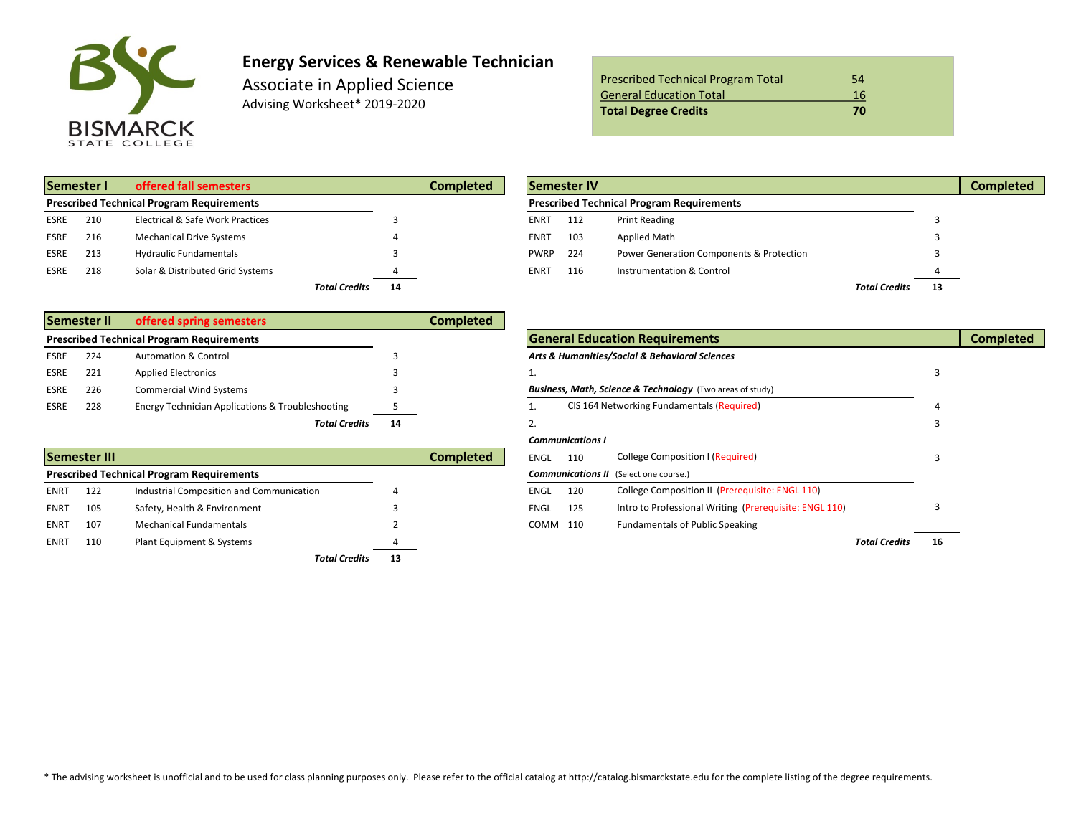

# **Energy Services & Renewable Technician**

Associate in Applied Science Advising Worksheet\* 2019-2020

| <b>Prescribed Technical Program Total</b> | 54 |
|-------------------------------------------|----|
| <b>General Education Total</b>            | 16 |
| <b>Total Degree Credits</b>               | 70 |

| Semester I  |     | offered fall semesters                           |                            | Completed | <b>Semester IV</b> |     |                                                  |                      |     |  |  |
|-------------|-----|--------------------------------------------------|----------------------------|-----------|--------------------|-----|--------------------------------------------------|----------------------|-----|--|--|
|             |     | <b>Prescribed Technical Program Requirements</b> |                            |           |                    |     | <b>Prescribed Technical Program Requirements</b> |                      |     |  |  |
| <b>ESRE</b> | 210 | Electrical & Safe Work Practices                 |                            |           | <b>ENRT</b>        | 112 | <b>Print Reading</b>                             |                      |     |  |  |
| <b>ESRE</b> | 216 | <b>Mechanical Drive Systems</b>                  |                            |           | ENRT               | 103 | <b>Applied Math</b>                              |                      |     |  |  |
| <b>ESRE</b> | 213 | <b>Hydraulic Fundamentals</b>                    |                            |           | <b>PWRP</b>        | 224 | Power Generation Components & Protection         |                      |     |  |  |
| <b>ESRE</b> | 218 | Solar & Distributed Grid Systems                 |                            |           | ENRT               | 116 | Instrumentation & Control                        |                      |     |  |  |
|             |     |                                                  | <b>Total Credits</b><br>14 |           |                    |     |                                                  | <b>Total Credits</b> | -13 |  |  |

|      | <b>Semester II</b> | offered spring semesters                         |    | Completed |                                                                      |  |
|------|--------------------|--------------------------------------------------|----|-----------|----------------------------------------------------------------------|--|
|      |                    | <b>Prescribed Technical Program Requirements</b> |    |           | <b>General Education Requirements</b>                                |  |
| ESRE | 224                | <b>Automation &amp; Control</b>                  |    |           | Arts & Humanities/Social & Behavioral Sciences                       |  |
| ESRE | 221                | <b>Applied Electronics</b>                       |    |           |                                                                      |  |
| ESRE | 226                | <b>Commercial Wind Systems</b>                   |    |           | <b>Business, Math, Science &amp; Technology</b> (Two areas of study) |  |
| ESRE | 228                | Energy Technician Applications & Troubleshooting |    |           | CIS 164 Networking Fundamentals (Required)                           |  |
|      |                    | <b>Total Credits</b>                             | 14 |           |                                                                      |  |

| <b>Semester III</b><br>Completed                 |     |                                          |    |  |          | 110 | College Composition I (Required)                       |    |  |  |
|--------------------------------------------------|-----|------------------------------------------|----|--|----------|-----|--------------------------------------------------------|----|--|--|
| <b>Prescribed Technical Program Requirements</b> |     |                                          |    |  |          |     | <b>Communications II</b> (Select one course.)          |    |  |  |
| <b>ENRT</b>                                      | 122 | Industrial Composition and Communication |    |  | ENGL     | 120 | College Composition II (Prerequisite: ENGL 110)        |    |  |  |
| <b>ENRT</b>                                      | 105 | Safety, Health & Environment             |    |  | ENGL     | 125 | Intro to Professional Writing (Prerequisite: ENGL 110) |    |  |  |
| <b>ENRT</b>                                      | 107 | <b>Mechanical Fundamentals</b>           |    |  | COMM 110 |     | <b>Fundamentals of Public Speaking</b>                 |    |  |  |
| <b>ENRT</b>                                      | 110 | Plant Equipment & Systems                |    |  |          |     | <b>Total Credits</b>                                   | 16 |  |  |
|                                                  |     | <b>Total Credits</b>                     | 13 |  |          |     |                                                        |    |  |  |

| Semester I<br>offered fall semesters             |     |                                  | <b>Completed</b> |  | <b>Semester IV</b>                               |     |                                                     |                      |    |  |  |
|--------------------------------------------------|-----|----------------------------------|------------------|--|--------------------------------------------------|-----|-----------------------------------------------------|----------------------|----|--|--|
| <b>Prescribed Technical Program Requirements</b> |     |                                  |                  |  | <b>Prescribed Technical Program Requirements</b> |     |                                                     |                      |    |  |  |
| ESRE                                             | 210 | Electrical & Safe Work Practices |                  |  | <b>ENRT</b>                                      | 112 | <b>Print Reading</b>                                |                      |    |  |  |
| ESRE                                             | 216 | <b>Mechanical Drive Systems</b>  |                  |  | <b>ENRT</b>                                      | 103 | Applied Math                                        |                      |    |  |  |
| ESRE                                             | 213 | <b>Hydraulic Fundamentals</b>    |                  |  | <b>PWRP</b>                                      | 224 | <b>Power Generation Components &amp; Protection</b> |                      |    |  |  |
| ESRE                                             | 218 | Solar & Distributed Grid Systems |                  |  | <b>ENRT</b>                                      | 116 | Instrumentation & Control                           |                      |    |  |  |
|                                                  |     | <b>Total Credits</b>             | 14               |  |                                                  |     |                                                     | <b>Total Credits</b> | 13 |  |  |

|      |              |                                                             |    | .                |             |                         |                                                                      |                     |    |                  |
|------|--------------|-------------------------------------------------------------|----|------------------|-------------|-------------------------|----------------------------------------------------------------------|---------------------|----|------------------|
|      |              | <b>Prescribed Technical Program Requirements</b>            |    |                  |             |                         | <b>General Education Requirements</b>                                |                     |    | <b>Completed</b> |
| ESRE | 224          | <b>Automation &amp; Control</b>                             |    |                  |             |                         | Arts & Humanities/Social & Behavioral Sciences                       |                     |    |                  |
| ESRE | 221          | <b>Applied Electronics</b>                                  |    |                  |             |                         |                                                                      |                     |    |                  |
| ESRE | 226          | <b>Commercial Wind Systems</b>                              |    |                  |             |                         | <b>Business, Math, Science &amp; Technology</b> (Two areas of study) |                     |    |                  |
| ESRE | 228          | <b>Energy Technician Applications &amp; Troubleshooting</b> |    |                  |             |                         | CIS 164 Networking Fundamentals (Required)                           |                     |    |                  |
|      |              | <b>Total Credits</b>                                        | 14 |                  |             |                         |                                                                      |                     |    |                  |
|      |              |                                                             |    |                  |             | <b>Communications I</b> |                                                                      |                     |    |                  |
|      | Semester III |                                                             |    | <b>Completed</b> | ENGL        | 110                     | <b>College Composition I (Required)</b>                              |                     |    |                  |
|      |              | <b>Prescribed Technical Program Requirements</b>            |    |                  |             |                         | <b>Communications II</b> (Select one course.)                        |                     |    |                  |
| ENRT | 122          | Industrial Composition and Communication                    |    |                  | <b>ENGL</b> | 120                     | College Composition II (Prerequisite: ENGL 110)                      |                     |    |                  |
| ENRT | 105          | Safety, Health & Environment                                |    |                  | ENGL        | 125                     | Intro to Professional Writing (Prerequisite: ENGL 110)               |                     |    |                  |
| ENRT | 107          | <b>Mechanical Fundamentals</b>                              |    |                  | COMM 110    |                         | <b>Fundamentals of Public Speaking</b>                               |                     |    |                  |
| ENRT | 110          | Plant Equipment & Systems                                   |    |                  |             |                         |                                                                      | <b>Total Credit</b> | 16 |                  |
|      |              |                                                             |    |                  |             |                         |                                                                      |                     |    |                  |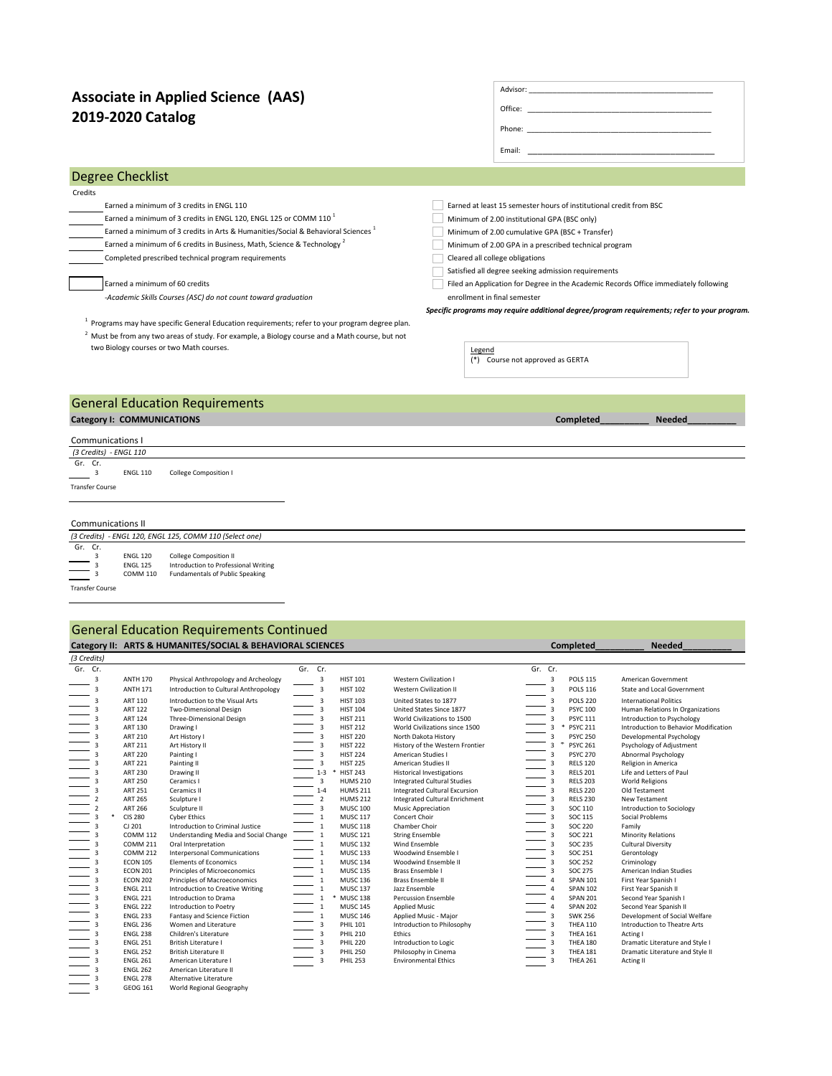## **2019-2020 Catalog Associate in Applied Science (AAS)**

| Associate in Applied Science (AAS)                                                                         |                                                                                                                                                                                                                                |
|------------------------------------------------------------------------------------------------------------|--------------------------------------------------------------------------------------------------------------------------------------------------------------------------------------------------------------------------------|
| 2019-2020 Catalog                                                                                          | Office: The contract of the contract of the contract of the contract of the contract of the contract of the contract of the contract of the contract of the contract of the contract of the contract of the contract of the co |
|                                                                                                            | Phone: Phone Phone Phone Phone Phone Phone Phone Phone Phone Phone Phone Phone Phone Phone Phone Phone Phone Phone Phone Phone Phone Phone Phone Phone Phone Phone Phone Phone Phone Phone Phone Phone Phone Phone Phone Phone |
|                                                                                                            | Email: Email: And a state of the state of the state of the state of the state of the state of the state of the                                                                                                                 |
| Degree Checklist                                                                                           |                                                                                                                                                                                                                                |
| Credits                                                                                                    |                                                                                                                                                                                                                                |
| Earned a minimum of 3 credits in ENGL 110                                                                  | Earned at least 15 semester hours of institutional credit from BSC.                                                                                                                                                            |
| Earned a minimum of 3 credits in ENGL 120, ENGL 125 or COMM 110 <sup>1</sup>                               | Minimum of 2.00 institutional GPA (BSC only)                                                                                                                                                                                   |
| Earned a minimum of 3 credits in Arts & Humanities/Social & Behavioral Sciences <sup>1</sup>               | Minimum of 2.00 cumulative GPA (BSC + Transfer)                                                                                                                                                                                |
| Earned a minimum of 6 credits in Business, Math, Science & Technology <sup>2</sup>                         | Minimum of 2.00 GPA in a prescribed technical program                                                                                                                                                                          |
| Completed prescribed technical program requirements                                                        | Cleared all college obligations                                                                                                                                                                                                |
|                                                                                                            | Satisfied all degree seeking admission requirements                                                                                                                                                                            |
| Earned a minimum of 60 credits                                                                             | Filed an Application for Degree in the Academic Records Office immediately following                                                                                                                                           |
| -Academic Skills Courses (ASC) do not count toward graduation                                              | enrollment in final semester                                                                                                                                                                                                   |
|                                                                                                            | Specific programs may require additional degree/program requirements; refer to your program.                                                                                                                                   |
| <sup>1</sup> Programs may have specific General Education requirements; refer to your program degree plan. |                                                                                                                                                                                                                                |
| $2$ Must be from any two areas of study. For example, a Biology course and a Math course, but not          |                                                                                                                                                                                                                                |
| two Biology courses or two Math courses.                                                                   | Legend<br>(*) Course not approved as GERTA                                                                                                                                                                                     |
| Conoral Education Boquiromonto                                                                             |                                                                                                                                                                                                                                |

Advisor:

## General Education Requirements

## **Category I: COMMUNICATIONS**

| Communications I                                                                                                                        |  |  |  |  |  |  |  |  |  |
|-----------------------------------------------------------------------------------------------------------------------------------------|--|--|--|--|--|--|--|--|--|
| (3 Credits) - ENGL 110                                                                                                                  |  |  |  |  |  |  |  |  |  |
| Gr. Cr.<br>College Composition I<br><b>ENGL 110</b>                                                                                     |  |  |  |  |  |  |  |  |  |
| <b>Transfer Course</b>                                                                                                                  |  |  |  |  |  |  |  |  |  |
|                                                                                                                                         |  |  |  |  |  |  |  |  |  |
|                                                                                                                                         |  |  |  |  |  |  |  |  |  |
|                                                                                                                                         |  |  |  |  |  |  |  |  |  |
| <b>Communications II</b>                                                                                                                |  |  |  |  |  |  |  |  |  |
| (3 Credits) - ENGL 120, ENGL 125, COMM 110 (Select one)                                                                                 |  |  |  |  |  |  |  |  |  |
| Gr. Cr.                                                                                                                                 |  |  |  |  |  |  |  |  |  |
| <b>College Composition II</b><br><b>ENGL 120</b>                                                                                        |  |  |  |  |  |  |  |  |  |
| $\equiv$ $\frac{3}{3}$<br>Introduction to Professional Writing<br><b>ENGL 125</b><br>Fundamentals of Public Speaking<br><b>COMM 110</b> |  |  |  |  |  |  |  |  |  |

Transfer Course

### **Category II: ARTS & HUMANITES/SOCIAL & BEHAVIORAL SCIENCES** COMPLETED Completed\_\_\_\_\_\_\_\_\_\_\_\_ Needed\_ General Education Requirements Continued

| (3 Credits)    |                 |                                       |         |                         |                 |                                      |         |                |                 |                                       |
|----------------|-----------------|---------------------------------------|---------|-------------------------|-----------------|--------------------------------------|---------|----------------|-----------------|---------------------------------------|
| Gr. Cr.        |                 |                                       | Gr. Cr. |                         |                 |                                      | Gr. Cr. |                |                 |                                       |
| 3              | <b>ANTH 170</b> | Physical Anthropology and Archeology  |         | $\mathbf{3}$            | <b>HIST 101</b> | <b>Western Civilization I</b>        |         | $\mathbf{3}$   | <b>POLS 115</b> | American Government                   |
| 3              | <b>ANTH 171</b> | Introduction to Cultural Anthropology |         | $\overline{3}$          | <b>HIST 102</b> | <b>Western Civilization II</b>       |         | $\mathbf{3}$   | <b>POLS 116</b> | State and Local Government            |
| 3              | ART 110         | Introduction to the Visual Arts       |         | $\overline{3}$          | <b>HIST 103</b> | United States to 1877                |         | $\mathbf{3}$   | <b>POLS 220</b> | <b>International Politics</b>         |
|                | <b>ART 122</b>  | Two-Dimensional Design                |         | $\overline{3}$          | <b>HIST 104</b> | United States Since 1877             |         | $\mathbf{3}$   | <b>PSYC 100</b> | Human Relations In Organizations      |
|                | <b>ART 124</b>  | Three-Dimensional Design              |         | $\overline{3}$          | <b>HIST 211</b> | World Civilizations to 1500          |         | 3              | <b>PSYC 111</b> | Introduction to Psychology            |
|                | ART 130         | Drawing I                             |         | $\overline{3}$          | <b>HIST 212</b> | World Civilizations since 1500       |         | 3              | <b>PSYC 211</b> | Introduction to Behavior Modification |
|                | <b>ART 210</b>  | Art History I                         |         | $\overline{\mathbf{3}}$ | <b>HIST 220</b> | North Dakota History                 |         | $\overline{3}$ | <b>PSYC 250</b> | Developmental Psychology              |
|                | <b>ART 211</b>  | Art History II                        |         | $\overline{3}$          | <b>HIST 222</b> | History of the Western Frontier      |         | 墨<br>3         | <b>PSYC 261</b> | Psychology of Adjustment              |
|                | <b>ART 220</b>  | Painting I                            |         | $\overline{3}$          | <b>HIST 224</b> | American Studies I                   |         | $\overline{3}$ | <b>PSYC 270</b> | Abnormal Psychology                   |
|                | <b>ART 221</b>  | Painting II                           |         | $\overline{\mathbf{3}}$ | <b>HIST 225</b> | American Studies II                  |         | $\overline{3}$ | <b>RELS 120</b> | Religion in America                   |
|                | <b>ART 230</b>  | Drawing II                            |         | $1 - 3$                 | <b>HIST 243</b> | <b>Historical Investigations</b>     |         | 3              | <b>RELS 201</b> | Life and Letters of Paul              |
|                | <b>ART 250</b>  | Ceramics I                            |         | $\overline{3}$          | <b>HUMS 210</b> | <b>Integrated Cultural Studies</b>   |         | 3              | <b>RELS 203</b> | <b>World Religions</b>                |
|                | <b>ART 251</b>  | Ceramics II                           |         | $1 - 4$                 | <b>HUMS 211</b> | <b>Integrated Cultural Excursion</b> |         | $\overline{3}$ | <b>RELS 220</b> | Old Testament                         |
|                | <b>ART 265</b>  | Sculpture I                           |         | $\overline{2}$          | <b>HUMS 212</b> | Integrated Cultural Enrichment       |         |                | <b>RELS 230</b> | New Testament                         |
| $\overline{2}$ | <b>ART 266</b>  | Sculpture II                          |         | $\overline{3}$          | <b>MUSC 100</b> | Music Appreciation                   |         | 3              | SOC 110         | Introduction to Sociology             |
|                | <b>CIS 280</b>  | <b>Cyber Ethics</b>                   |         | $\mathbf{1}$            | <b>MUSC 117</b> | Concert Choir                        |         | 3              | SOC 115         | Social Problems                       |
|                | CJ 201          | Introduction to Criminal Justice      |         | $\mathbf{1}$            | <b>MUSC 118</b> | Chamber Choir                        |         | $\overline{3}$ | <b>SOC 220</b>  | Family                                |
|                | <b>COMM 112</b> | Understanding Media and Social Change |         | $\mathbf{1}$            | <b>MUSC 121</b> | <b>String Ensemble</b>               |         | $\overline{3}$ | SOC 221         | Minority Relations                    |
|                | <b>COMM 211</b> | Oral Interpretation                   |         | $\mathbf{1}$            | <b>MUSC 132</b> | Wind Ensemble                        |         | 3              | SOC 235         | Cultural Diversity                    |
|                | <b>COMM 212</b> | <b>Interpersonal Communications</b>   |         | $\mathbf{1}$            | <b>MUSC 133</b> | Woodwind Ensemble I                  |         | 3              | SOC 251         | Gerontology                           |
|                | <b>ECON 105</b> | <b>Elements of Economics</b>          |         | 1                       | <b>MUSC 134</b> | Woodwind Ensemble II                 |         | 3              | <b>SOC 252</b>  | Criminology                           |
|                | <b>ECON 201</b> | Principles of Microeconomics          |         | $\mathbf{1}$            | <b>MUSC 135</b> | Brass Ensemble I                     |         | $\overline{3}$ | <b>SOC 275</b>  | American Indian Studies               |
| 3              | <b>ECON 202</b> | Principles of Macroeconomics          |         | $\mathbf{1}$            | <b>MUSC 136</b> | Brass Ensemble II                    |         | $\overline{4}$ | <b>SPAN 101</b> | First Year Spanish I                  |
|                | <b>ENGL 211</b> | Introduction to Creative Writing      |         | $\mathbf{1}$            | <b>MUSC 137</b> | Jazz Ensemble                        |         |                | <b>SPAN 102</b> | First Year Spanish II                 |
|                | <b>ENGL 221</b> | Introduction to Drama                 |         | *<br>$\mathbf{1}$       | <b>MUSC 138</b> | <b>Percussion Ensemble</b>           |         | $\overline{4}$ | <b>SPAN 201</b> | Second Year Spanish I                 |
|                | <b>ENGL 222</b> | Introduction to Poetry                |         | $\mathbf{1}$            | <b>MUSC 145</b> | Applied Music                        |         | $\overline{4}$ | <b>SPAN 202</b> | Second Year Spanish II                |
|                | <b>ENGL 233</b> | Fantasy and Science Fiction           |         | $\,1\,$                 | <b>MUSC 146</b> | Applied Music - Major                |         |                | <b>SWK 256</b>  | Development of Social Welfare         |
|                | <b>ENGL 236</b> | Women and Literature                  |         | $\overline{3}$          | <b>PHIL 101</b> | Introduction to Philosophy           |         | 3              | <b>THEA 110</b> | Introduction to Theatre Arts          |
|                | <b>ENGL 238</b> | Children's Literature                 |         | 3                       | <b>PHIL 210</b> | Ethics                               |         |                | <b>THEA 161</b> | Acting I                              |
|                | <b>ENGL 251</b> | British Literature I                  |         | $\overline{3}$          | <b>PHIL 220</b> | Introduction to Logic                |         |                | <b>THEA 180</b> | Dramatic Literature and Style I       |
|                | <b>ENGL 252</b> | <b>British Literature II</b>          |         | 3                       | <b>PHIL 250</b> | Philosophy in Cinema                 |         | 3              | <b>THEA 181</b> | Dramatic Literature and Style II      |
|                | <b>ENGL 261</b> | American Literature I                 |         | $\overline{3}$          | <b>PHIL 253</b> | <b>Environmental Ethics</b>          |         | $\overline{3}$ | <b>THEA 261</b> | <b>Acting II</b>                      |
|                | <b>ENGL 262</b> | American Literature II                |         |                         |                 |                                      |         |                |                 |                                       |
| 3              | <b>ENGL 278</b> | Alternative Literature                |         |                         |                 |                                      |         |                |                 |                                       |
| 3              | <b>GEOG 161</b> | World Regional Geography              |         |                         |                 |                                      |         |                |                 |                                       |